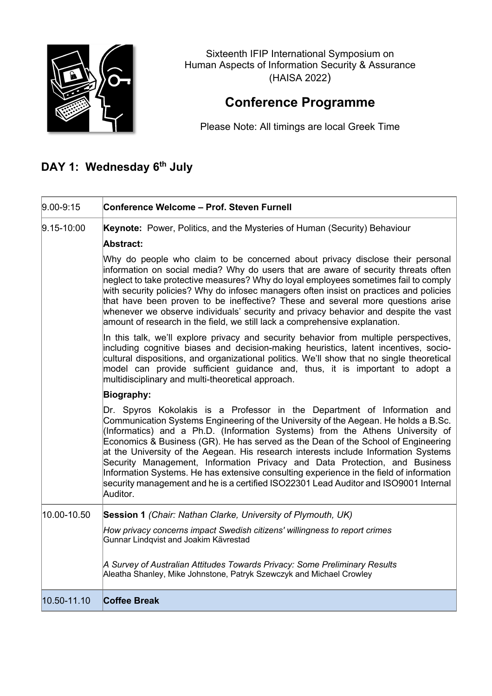

Sixteenth IFIP International Symposium on Human Aspects of Information Security & Assurance (HAISA 2022)

## **Conference Programme**

Please Note: All timings are local Greek Time

## **DAY 1: Wednesday 6th July**

| $9.00 - 9:15$  | Conference Welcome - Prof. Steven Furnell                                                                                                                                                                                                                                                                                                                                                                                                                                                                                                                                                                                                                                                                 |
|----------------|-----------------------------------------------------------------------------------------------------------------------------------------------------------------------------------------------------------------------------------------------------------------------------------------------------------------------------------------------------------------------------------------------------------------------------------------------------------------------------------------------------------------------------------------------------------------------------------------------------------------------------------------------------------------------------------------------------------|
| $9.15 - 10:00$ | Keynote: Power, Politics, and the Mysteries of Human (Security) Behaviour                                                                                                                                                                                                                                                                                                                                                                                                                                                                                                                                                                                                                                 |
|                | Abstract:                                                                                                                                                                                                                                                                                                                                                                                                                                                                                                                                                                                                                                                                                                 |
|                | Why do people who claim to be concerned about privacy disclose their personal<br>information on social media? Why do users that are aware of security threats often<br>neglect to take protective measures? Why do loyal employees sometimes fail to comply<br>with security policies? Why do infosec managers often insist on practices and policies<br>that have been proven to be ineffective? These and several more questions arise<br>whenever we observe individuals' security and privacy behavior and despite the vast<br>amount of research in the field, we still lack a comprehensive explanation.                                                                                            |
|                | In this talk, we'll explore privacy and security behavior from multiple perspectives,<br>including cognitive biases and decision-making heuristics, latent incentives, socio-<br>cultural dispositions, and organizational politics. We'll show that no single theoretical<br>model can provide sufficient guidance and, thus, it is important to adopt a<br>multidisciplinary and multi-theoretical approach.                                                                                                                                                                                                                                                                                            |
|                | <b>Biography:</b>                                                                                                                                                                                                                                                                                                                                                                                                                                                                                                                                                                                                                                                                                         |
|                | Dr. Spyros Kokolakis is a Professor in the Department of Information and<br>Communication Systems Engineering of the University of the Aegean. He holds a B.Sc.<br>(Informatics) and a Ph.D. (Information Systems) from the Athens University of<br>Economics & Business (GR). He has served as the Dean of the School of Engineering<br>at the University of the Aegean. His research interests include Information Systems<br>Security Management, Information Privacy and Data Protection, and Business<br>Information Systems. He has extensive consulting experience in the field of information<br>security management and he is a certified ISO22301 Lead Auditor and ISO9001 Internal<br>Auditor. |
| 10.00-10.50    | Session 1 (Chair: Nathan Clarke, University of Plymouth, UK)                                                                                                                                                                                                                                                                                                                                                                                                                                                                                                                                                                                                                                              |
|                | How privacy concerns impact Swedish citizens' willingness to report crimes<br>Gunnar Lindqvist and Joakim Kävrestad                                                                                                                                                                                                                                                                                                                                                                                                                                                                                                                                                                                       |
|                | A Survey of Australian Attitudes Towards Privacy: Some Preliminary Results<br>Aleatha Shanley, Mike Johnstone, Patryk Szewczyk and Michael Crowley                                                                                                                                                                                                                                                                                                                                                                                                                                                                                                                                                        |
| 10.50-11.10    | <b>Coffee Break</b>                                                                                                                                                                                                                                                                                                                                                                                                                                                                                                                                                                                                                                                                                       |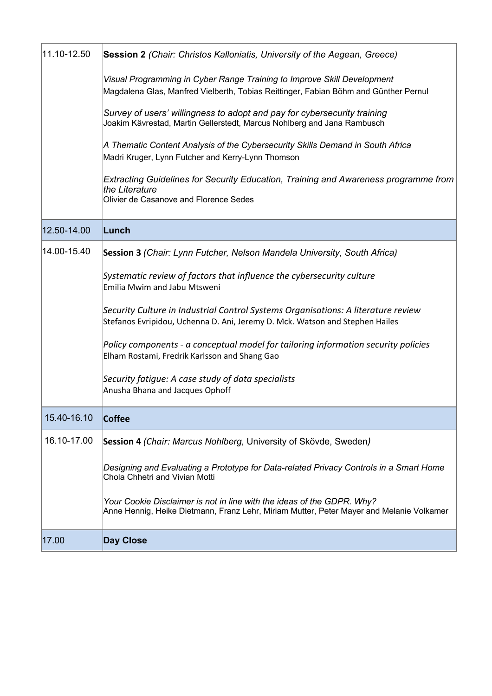| 11.10-12.50 | Session 2 (Chair: Christos Kalloniatis, University of the Aegean, Greece)                                                                                          |
|-------------|--------------------------------------------------------------------------------------------------------------------------------------------------------------------|
|             | Visual Programming in Cyber Range Training to Improve Skill Development<br>Magdalena Glas, Manfred Vielberth, Tobias Reittinger, Fabian Böhm and Günther Pernul    |
|             | Survey of users' willingness to adopt and pay for cybersecurity training<br>Joakim Kävrestad, Martin Gellerstedt, Marcus Nohlberg and Jana Rambusch                |
|             | A Thematic Content Analysis of the Cybersecurity Skills Demand in South Africa<br>Madri Kruger, Lynn Futcher and Kerry-Lynn Thomson                                |
|             | Extracting Guidelines for Security Education, Training and Awareness programme from<br>the Literature<br>Olivier de Casanove and Florence Sedes                    |
| 12.50-14.00 | Lunch                                                                                                                                                              |
| 14.00-15.40 | Session 3 (Chair: Lynn Futcher, Nelson Mandela University, South Africa)                                                                                           |
|             | Systematic review of factors that influence the cybersecurity culture<br>Emilia Mwim and Jabu Mtsweni                                                              |
|             | Security Culture in Industrial Control Systems Organisations: A literature review<br>Stefanos Evripidou, Uchenna D. Ani, Jeremy D. Mck. Watson and Stephen Hailes  |
|             | Policy components - a conceptual model for tailoring information security policies<br>Elham Rostami, Fredrik Karlsson and Shang Gao                                |
|             | Security fatigue: A case study of data specialists<br>Anusha Bhana and Jacques Ophoff                                                                              |
| 15.40-16.10 | Coffee                                                                                                                                                             |
| 16.10-17.00 | Session 4 (Chair: Marcus Nohlberg, University of Skövde, Sweden)                                                                                                   |
|             | Designing and Evaluating a Prototype for Data-related Privacy Controls in a Smart Home<br>Chola Chhetri and Vivian Motti                                           |
|             | Your Cookie Disclaimer is not in line with the ideas of the GDPR. Why?<br>Anne Hennig, Heike Dietmann, Franz Lehr, Miriam Mutter, Peter Mayer and Melanie Volkamer |
| 17.00       | <b>Day Close</b>                                                                                                                                                   |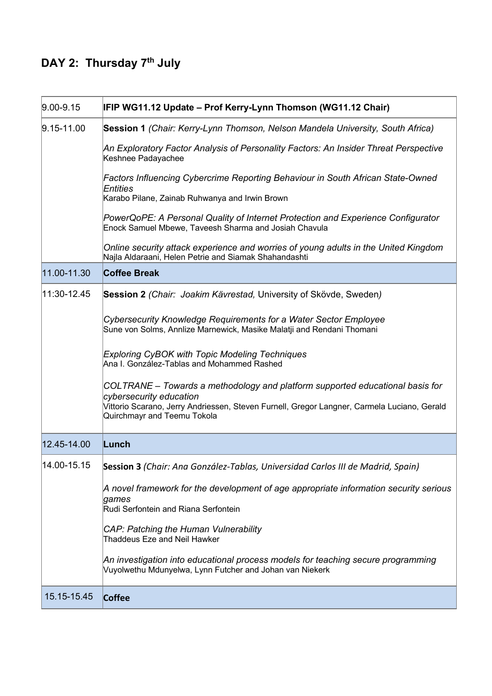## **DAY 2: Thursday 7th July**

| $ 9.00 - 9.15$ | IFIP WG11.12 Update - Prof Kerry-Lynn Thomson (WG11.12 Chair)                                                                                                                                                                          |
|----------------|----------------------------------------------------------------------------------------------------------------------------------------------------------------------------------------------------------------------------------------|
| $9.15 - 11.00$ | Session 1 (Chair: Kerry-Lynn Thomson, Nelson Mandela University, South Africa)                                                                                                                                                         |
|                | An Exploratory Factor Analysis of Personality Factors: An Insider Threat Perspective<br>Keshnee Padayachee                                                                                                                             |
|                | Factors Influencing Cybercrime Reporting Behaviour in South African State-Owned<br>Entities<br>Karabo Pilane, Zainab Ruhwanya and Irwin Brown                                                                                          |
|                | PowerQoPE: A Personal Quality of Internet Protection and Experience Configurator<br>Enock Samuel Mbewe, Taveesh Sharma and Josiah Chavula                                                                                              |
|                | Online security attack experience and worries of young adults in the United Kingdom<br>Najla Aldaraani, Helen Petrie and Siamak Shahandashti                                                                                           |
| 11.00-11.30    | <b>Coffee Break</b>                                                                                                                                                                                                                    |
| 11:30-12.45    | Session 2 (Chair: Joakim Kävrestad, University of Skövde, Sweden)                                                                                                                                                                      |
|                | Cybersecurity Knowledge Requirements for a Water Sector Employee<br>Sune von Solms, Annlize Marnewick, Masike Malatji and Rendani Thomani                                                                                              |
|                | <b>Exploring CyBOK with Topic Modeling Techniques</b><br>Ana I. González-Tablas and Mohammed Rashed                                                                                                                                    |
|                | COLTRANE - Towards a methodology and platform supported educational basis for<br>cybersecurity education<br>Vittorio Scarano, Jerry Andriessen, Steven Furnell, Gregor Langner, Carmela Luciano, Gerald<br>Quirchmayr and Teemu Tokola |
| 12.45-14.00    | Lunch                                                                                                                                                                                                                                  |
| 14.00-15.15    | Session 3 (Chair: Ana González-Tablas, Universidad Carlos III de Madrid, Spain)                                                                                                                                                        |
|                | A novel framework for the development of age appropriate information security serious<br>games<br>Rudi Serfontein and Riana Serfontein                                                                                                 |
|                | CAP: Patching the Human Vulnerability<br>Thaddeus Eze and Neil Hawker                                                                                                                                                                  |
|                | An investigation into educational process models for teaching secure programming<br>Vuyolwethu Mdunyelwa, Lynn Futcher and Johan van Niekerk                                                                                           |
| 15.15-15.45    | Coffee                                                                                                                                                                                                                                 |